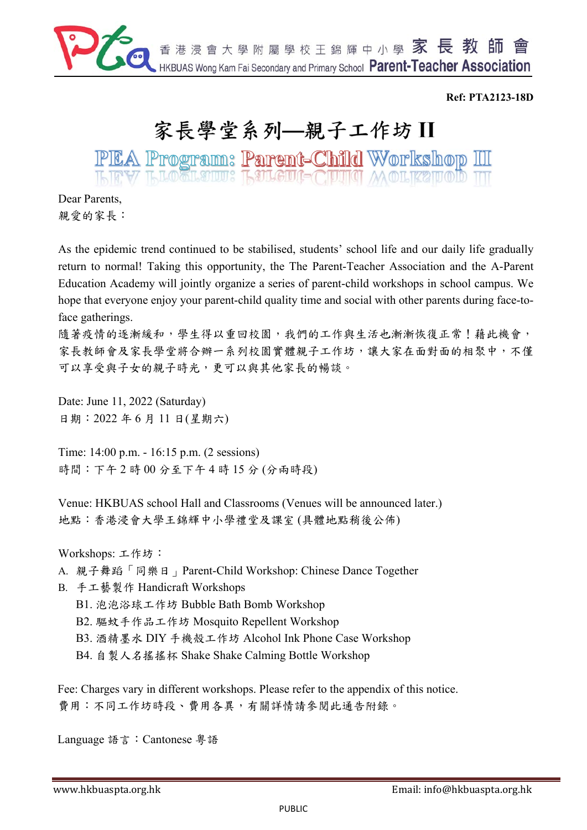

#### **Ref: PTA2123-18D**

# 家長學堂系列–親子工作坊II

PEA Program: Parent-Child Workshop III

Dear Parents, 親愛的家長:

As the epidemic trend continued to be stabilised, students' school life and our daily life gradually return to normal! Taking this opportunity, the The Parent-Teacher Association and the A-Parent Education Academy will jointly organize a series of parent-child workshops in school campus. We hope that everyone enjoy your parent-child quality time and social with other parents during face-toface gatherings.

隨著疫情的逐漸緩和,學生得以重回校園,我們的工作與生活也漸漸恢復正常!藉此機會, 家長教師會及家長學堂將合辦一系列校園實體親子工作坊,讓大家在面對面的相聚中,不僅 可以享受與子女的親子時光,更可以與其他家長的暢談。

Date: June 11, 2022 (Saturday) 日期:2022 年 6 月 11 日(星期六)

Time: 14:00 p.m. - 16:15 p.m. (2 sessions) 時間:下午 2 時 00 分至下午 4 時 15 分 (分兩時段)

Venue: HKBUAS school Hall and Classrooms (Venues will be announced later.) 地點:香港浸會大學王錦輝中小學禮堂及課室 (具體地點稍後公佈)

Workshops: 工作坊:

A. 親子舞蹈「同樂日」Parent-Child Workshop: Chinese Dance Together

B. 手工藝製作 Handicraft Workshops

B1. 泡泡浴球工作坊 Bubble Bath Bomb Workshop

B2. 驅蚊手作品工作坊 Mosquito Repellent Workshop

B3. 酒精墨水 DIY 手機殼工作坊 Alcohol Ink Phone Case Workshop

B4. 自製人名搖搖杯 Shake Shake Calming Bottle Workshop

Fee: Charges vary in different workshops. Please refer to the appendix of this notice. 費用:不同工作坊時段、費用各異,有關詳情請參閱此通告附錄。

Language 語言:Cantonese 粵語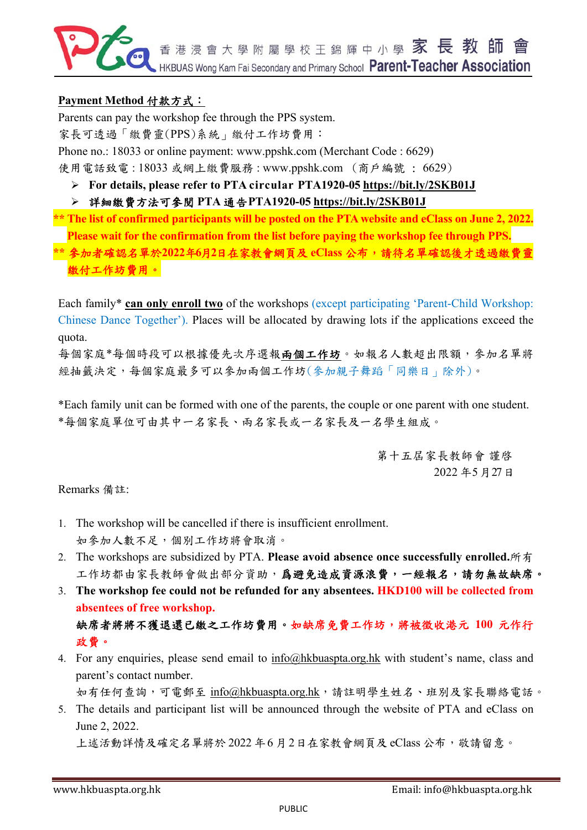

### **Payment Method** 付款方式:

Parents can pay the workshop fee through the PPS system.

家長可透過「繳費靈(PPS)系統」繳付工作坊費用:

Phone no.: 18033 or online payment: www.ppshk.com (Merchant Code : 6629)

使用電話致電 : 18033 或網上繳費服務 : www.ppshk.com (商戶編號 : 6629)

**For details, please refer to PTA circular PTA1920-05 https://bit.ly/2SKB01J** 

詳細繳費方法可參閱 **PTA** 通告**PTA1920-05 https://bit.ly/2SKB01J** 

**\*\* The list of confirmed participants will be posted on the PTA website and eClass on June 2, 2022. Please wait for the confirmation from the list before paying the workshop fee through PPS.** 

**\*\*** 參加者確認名單於**2022**年**6**月**2**日在家教會網頁及 **eClass** 公布,請待名單確認後才透過繳費靈 繳付工作坊費用。

Each family\* **can only enroll two** of the workshops (except participating 'Parent-Child Workshop: Chinese Dance Together'). Places will be allocated by drawing lots if the applications exceed the quota.

每個家庭\*每個時段可以根據優先次序選報兩個工作坊。如報名人數超出限額,參加名單將 經抽籤決定,每個家庭最多可以參加兩個工作坊(參加親子舞蹈「同樂日」除外)。

\*Each family unit can be formed with one of the parents, the couple or one parent with one student. \*每個家庭單位可由其中一名家長、兩名家長或一名家長及一名學生組成。

> 第十五屆家長教師會 謹啓 2022 年5月27日

Remarks 備註:

- 1. The workshop will be cancelled if there is insufficient enrollment. 如參加人數不足,個別工作坊將會取消。
- 2. The workshops are subsidized by PTA. **Please avoid absence once successfully enrolled.**所有 工作坊都由家長教師會做出部分資助,爲避免造成資源浪費,一經報名,請勿無故缺席。
- 3. **The workshop fee could not be refunded for any absentees. HKD100 will be collected from absentees of free workshop.**

缺席者將將不獲退還已繳之工作坊費用。如缺席免費工作坊,將被徵收港元 **100** 元作行 政費。

4. For any enquiries, please send email to info@hkbuaspta.org.hk with student's name, class and parent's contact number.

如有任何查詢,可電郵至 info@hkbuaspta.org.hk,請註明學生姓名、班別及家長聯絡電話。

5. The details and participant list will be announced through the website of PTA and eClass on June 2, 2022. 上述活動詳情及確定名單將於 2022 年6月2日在家教會網頁及 eClass 公布, 敬請留意。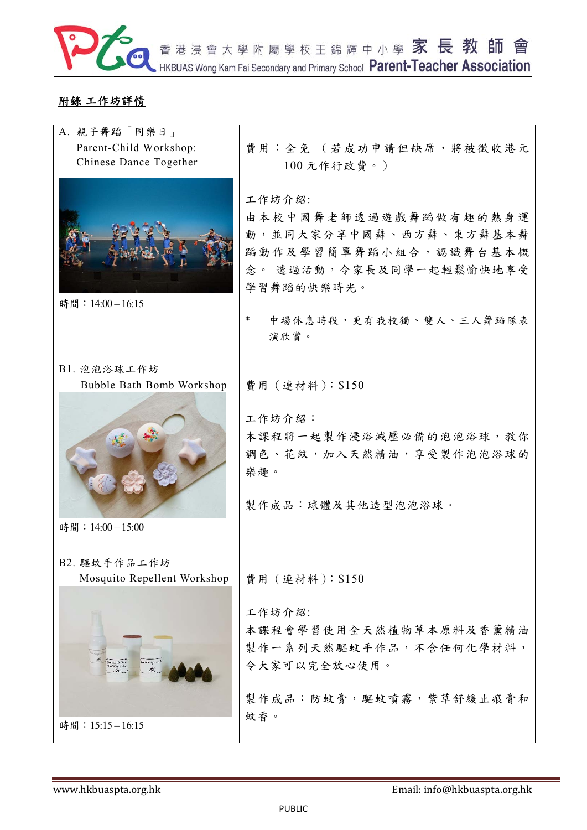

## 附錄 工作坊詳情

| A. 親子舞蹈「同樂日」<br>Parent-Child Workshop:<br>Chinese Dance Together | 費用:全免 (若成功申請但缺席,將被徵收港元<br>100元作行政費。)<br>工作坊介紹:<br>由本校中國舞老師透過遊戲舞蹈做有趣的熱身運<br>動,並同大家分享中國舞、西方舞、東方舞基本舞<br>蹈動作及學習簡單舞蹈小組合,認識舞台基本概<br>念。 透過活動, 令家長及同學一起輕鬆愉快地享受 |
|------------------------------------------------------------------|--------------------------------------------------------------------------------------------------------------------------------------------------------|
|                                                                  | 學習舞蹈的快樂時光。                                                                                                                                             |
| 時間: 14:00-16:15                                                  | *<br>中場休息時段,更有我校獨、雙人、三人舞蹈隊表<br>演欣賞。                                                                                                                    |
| B1. 泡泡浴球工作坊                                                      |                                                                                                                                                        |
| Bubble Bath Bomb Workshop                                        | 費用 (連材料): \$150                                                                                                                                        |
|                                                                  | 工作坊介紹:<br>本課程將一起製作浸浴減壓必備的泡泡浴球,教你<br>調色、花紋,加入天然精油,享受製作泡泡浴球的<br>樂趣。<br>製作成品:球體及其他造型泡泡浴球。                                                                 |
| 時間: 14:00-15:00                                                  |                                                                                                                                                        |
| B2. 驅蚊手作品工作坊                                                     |                                                                                                                                                        |
| Mosquito Repellent Workshop                                      | 費用 (連材料): \$150                                                                                                                                        |
| Roll Buge Bob<br>.<br>Generaust Rock<br>Einsteinig Baker         | 工作坊介紹:<br>本課程會學習使用全天然植物草本原料及香薰精油<br>製作一系列天然驅蚊手作品,不含任何化學材料,<br>令大家可以完全放心使用。<br>製作成品:防蚊膏,驅蚊噴霧,紫草舒緩止痕膏和<br>蚊香。                                            |
| 時間: 15:15-16:15                                                  |                                                                                                                                                        |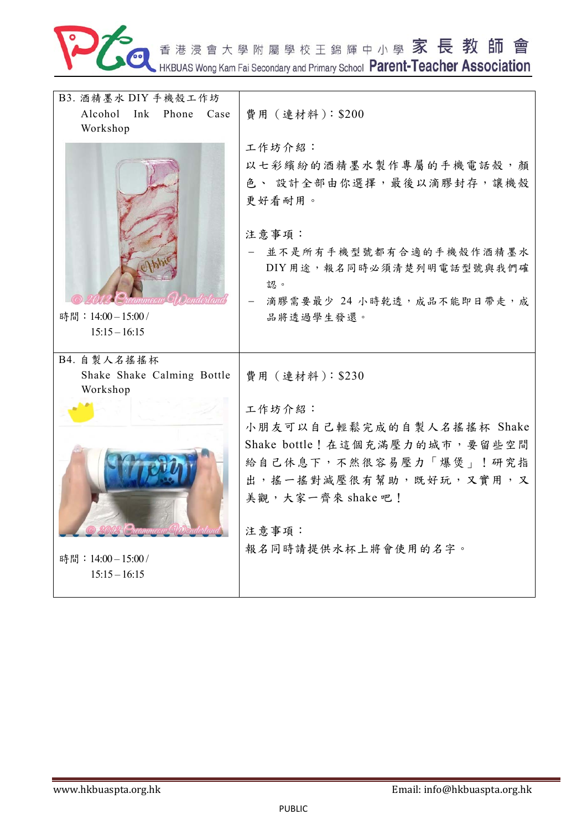

香港浸會大學附屬學校王錦輝中小學 家 長 教 師 會

| B3. 酒精墨水 DIY 手機殼工作坊                 |                                 |
|-------------------------------------|---------------------------------|
| Alcohol Ink Phone Case              | 費用 (連材料): \$200                 |
| Workshop                            |                                 |
|                                     | 工作坊介紹:                          |
|                                     | 以七彩繽紛的酒精墨水製作專屬的手機電話殼,顏          |
|                                     | 色、設計全部由你選擇,最後以滴膠封存,讓機殼          |
|                                     | 更好看耐用。                          |
|                                     | 注意事項:                           |
|                                     | 並不是所有手機型號都有合適的手機殼作酒精墨水          |
|                                     | DIY用途,報名同時必須清楚列明電話型號與我們確        |
|                                     | 認。                              |
|                                     | - 滴膠需要最少 24 小時乾透, 成品不能即日帶走, 成   |
| 時間: 14:00-15:00/<br>$15:15 - 16:15$ | 品將透過學生發還。                       |
|                                     |                                 |
| B4. 自製人名搖搖杯                         |                                 |
| Shake Shake Calming Bottle          | 費用 (連材料): \$230                 |
| Workshop                            |                                 |
|                                     | 工作坊介紹:                          |
|                                     | 小朋友可以自己輕鬆完成的自製人名搖搖杯 Shake       |
|                                     | Shake bottle! 在這個充滿壓力的城市, 要留些空間 |
|                                     | 給自己休息下,不然很容易壓力「爆煲」!研究指          |
|                                     | 出,搖一搖對減壓很有幫助,既好玩,又實用,又          |
|                                     | 美觀,大家一齊來 shake 吧!               |
|                                     | 注意事項:                           |
|                                     | 報名同時請提供水杯上將會使用的名字。              |
| 時間: 14:00-15:00/                    |                                 |
| $15:15 - 16:15$                     |                                 |
|                                     |                                 |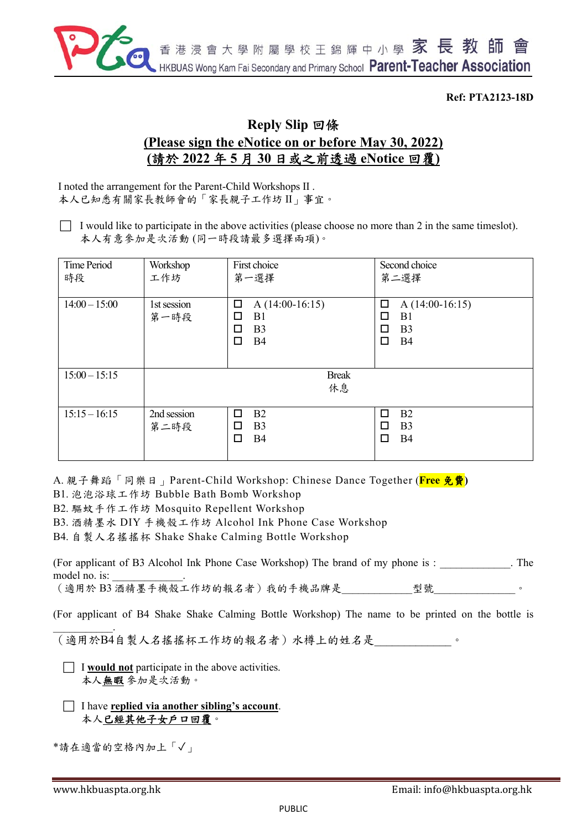

#### **Ref: PTA2123-18D**

## **Reply Slip** 回條 **(Please sign the eNotice on or before May 30, 2022) (**請於 **2022** 年 **5** 月 **30** 日或之前透過 **eNotice** 回覆**)**

I noted the arrangement for the Parent-Child Workshops II . 本人已知悉有關家長教師會的「家長親子工作坊 II」事宜。

 $\Box$  I would like to participate in the above activities (please choose no more than 2 in the same timeslot). 本人有意參加是次活動 (同一時段請最多選擇兩項)。

| Time Period<br>時段 | Workshop<br>工作坊     | First choice<br>第一選擇                                                            | Second choice<br>第二選擇                                                                      |
|-------------------|---------------------|---------------------------------------------------------------------------------|--------------------------------------------------------------------------------------------|
| $14:00 - 15:00$   | 1st session<br>第一時段 | □<br>A $(14:00-16:15)$<br>B1<br>□<br>□<br>B <sub>3</sub><br><b>B4</b><br>$\Box$ | $\Box$<br>$A(14:00-16:15)$<br>B <sub>1</sub><br>□<br>B <sub>3</sub><br>п<br><b>B4</b><br>□ |
| $15:00 - 15:15$   |                     | <b>Break</b><br>休息                                                              |                                                                                            |
| $15:15 - 16:15$   | 2nd session<br>第二時段 | B2<br>□<br>B <sub>3</sub><br>□<br>$\Box$<br><b>B4</b>                           | B <sub>2</sub><br>п<br>B <sub>3</sub><br>П<br><b>B4</b><br>□                               |

A. 親子舞蹈「同樂日」Parent-Child Workshop: Chinese Dance Together (**Free** 免費**)**

B1. 泡泡浴球工作坊 Bubble Bath Bomb Workshop

B2. 驅蚊手作工作坊 Mosquito Repellent Workshop

B3. 酒精墨水 DIY 手機殼工作坊 Alcohol Ink Phone Case Workshop

B4. 自製人名搖搖杯 Shake Shake Calming Bottle Workshop

| (For applicant of B3 Alcohol Ink Phone Case Workshop) The brand of my phone is : |    | The |
|----------------------------------------------------------------------------------|----|-----|
| model no. is:                                                                    |    |     |
| (適用於B3 酒精墨手機殼工作坊的報名者)我的手機品牌是                                                     | 型號 |     |

(For applicant of B4 Shake Shake Calming Bottle Workshop) The name to be printed on the bottle is

 $\mathcal{L}_\text{max}$ (適用於B4自製人名搖搖杯工作坊的報名者)水樽上的姓名是

- $\Box$  **I** would not participate in the above activities. 本人無暇 參加是次活動。
- I have **replied via another sibling's account**. 本人已經其他子女戶口回覆。

\*請在適當的空格內加上「✓」